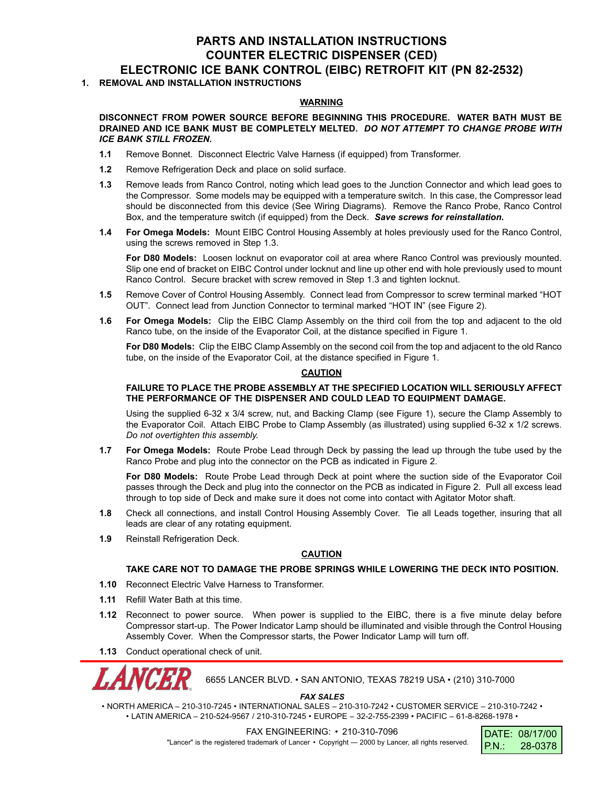# **PARTS AND INSTALLATION INSTRUCTIONS COUNTER ELECTRIC DISPENSER (CED) ELECTRONIC ICE BANK CONTROL (EIBC) RETROFIT KIT (PN 82-2532)**

# **1. REMOVAL AND INSTALLATION INSTRUCTIONS**

### **WARNING**

#### **DISCONNECT FROM POWER SOURCE BEFORE BEGINNING THIS PROCEDURE. WATER BATH MUST BE DRAINED AND ICE BANK MUST BE COMPLETELY MELTED.** *DO NOT ATTEMPT TO CHANGE PROBE WITH ICE BANK STILL FROZEN.*

- **1.1** Remove Bonnet. Disconnect Electric Valve Harness (if equipped) from Transformer.
- **1.2** Remove Refrigeration Deck and place on solid surface.
- **1.3** Remove leads from Ranco Control, noting which lead goes to the Junction Connector and which lead goes to the Compressor. Some models may be equipped with a temperature switch. In this case, the Compressor lead should be disconnected from this device (See Wiring Diagrams). Remove the Ranco Probe, Ranco Control Box, and the temperature switch (if equipped) from the Deck. *Save screws for reinstallation.*
- **1.4 For Omega Models:** Mount EIBC Control Housing Assembly at holes previously used for the Ranco Control, using the screws removed in Step 1.3.

**For D80 Models:** Loosen locknut on evaporator coil at area where Ranco Control was previously mounted. Slip one end of bracket on EIBC Control under locknut and line up other end with hole previously used to mount Ranco Control. Secure bracket with screw removed in Step 1.3 and tighten locknut.

- **1.5** Remove Cover of Control Housing Assembly. Connect lead from Compressor to screw terminal marked "HOT OUT". Connect lead from Junction Connector to terminal marked "HOT IN" (see Figure 2).
- **1.6 For Omega Models:** Clip the EIBC Clamp Assembly on the third coil from the top and adjacent to the old Ranco tube, on the inside of the Evaporator Coil, at the distance specified in Figure 1.

**For D80 Models:** Clip the EIBC Clamp Assembly on the second coil from the top and adjacent to the old Ranco tube, on the inside of the Evaporator Coil, at the distance specified in Figure 1.

#### **CAUTION**

### **FAILURE TO PLACE THE PROBE ASSEMBLY AT THE SPECIFIED LOCATION WILL SERIOUSLY AFFECT THE PERFORMANCE OF THE DISPENSER AND COULD LEAD TO EQUIPMENT DAMAGE.**

Using the supplied 6-32 x 3/4 screw, nut, and Backing Clamp (see Figure 1), secure the Clamp Assembly to the Evaporator Coil. Attach EIBC Probe to Clamp Assembly (as illustrated) using supplied 6-32 x 1/2 screws. *Do not overtighten this assembly.*

**1.7 For Omega Models:** Route Probe Lead through Deck by passing the lead up through the tube used by the Ranco Probe and plug into the connector on the PCB as indicated in Figure 2.

**For D80 Models:** Route Probe Lead through Deck at point where the suction side of the Evaporator Coil passes through the Deck and plug into the connector on the PCB as indicated in Figure 2. Pull all excess lead through to top side of Deck and make sure it does not come into contact with Agitator Motor shaft.

- **1.8** Check all connections, and install Control Housing Assembly Cover. Tie all Leads together, insuring that all leads are clear of any rotating equipment.
- **1.9** Reinstall Refrigeration Deck.

# **CAUTION**

## **TAKE CARE NOT TO DAMAGE THE PROBE SPRINGS WHILE LOWERING THE DECK INTO POSITION.**

- **1.10** Reconnect Electric Valve Harness to Transformer.
- **1.11** Refill Water Bath at this time.
- **1.12** Reconnect to power source. When power is supplied to the EIBC, there is a five minute delay before Compressor start-up. The Power Indicator Lamp should be illuminated and visible through the Control Housing Assembly Cover. When the Compressor starts, the Power Indicator Lamp will turn off.
- **1.13** Conduct operational check of unit.



6655 LANCER BLVD. • SAN ANTONIO, TEXAS 78219 USA • (210) 310-7000

*FAX SALES*

• NORTH AMERICA – 210-310-7245 • INTERNATIONAL SALES – 210-310-7242 • CUSTOMER SERVICE – 210-310-7242 • • LATIN AMERICA – 210-524-9567 / 210-310-7245 • EUROPE – 32-2-755-2399 • PACIFIC – 61-8-8268-1978 •

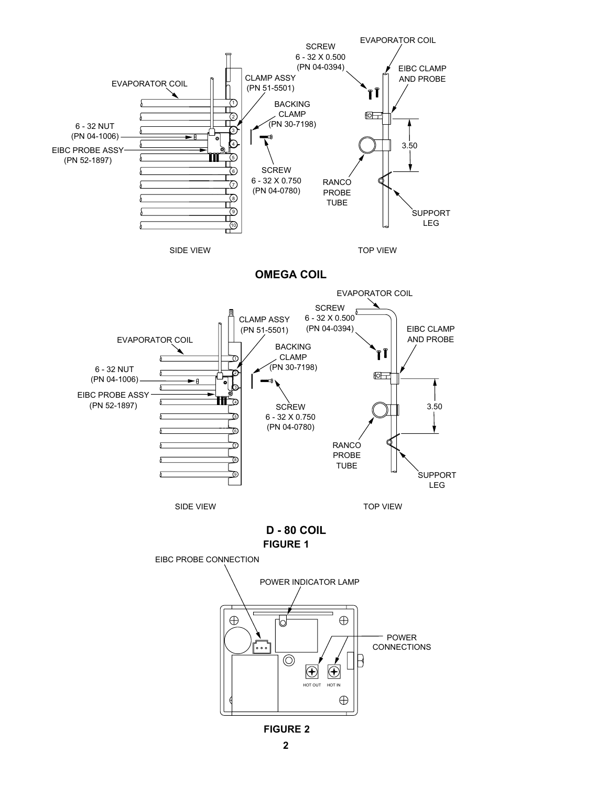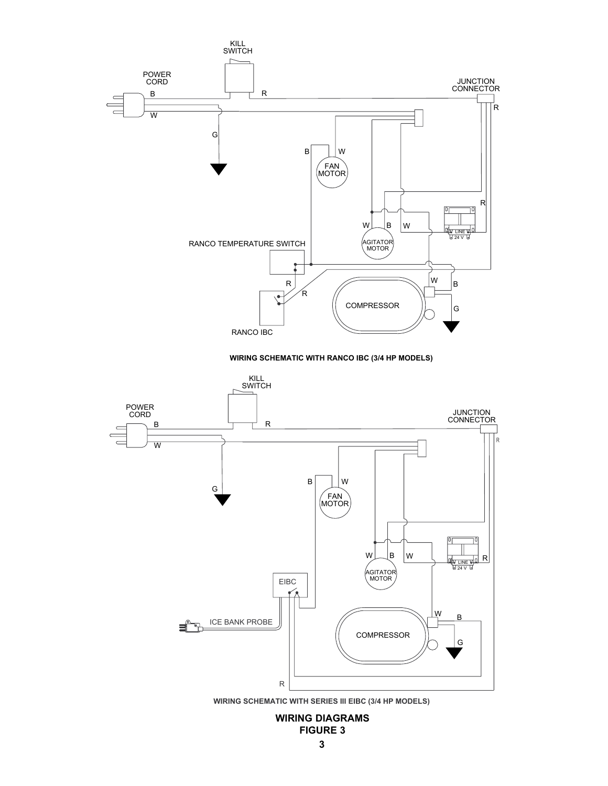# **WIRING DIAGRAMS FIGURE 3**

**WIRING SCHEMATIC WITH SERIES III EIBC (3/4 HP MODELS)**

![](_page_2_Figure_2.jpeg)

**WIRING SCHEMATIC WITH RANCO IBC (3/4 HP MODELS)**

![](_page_2_Figure_4.jpeg)